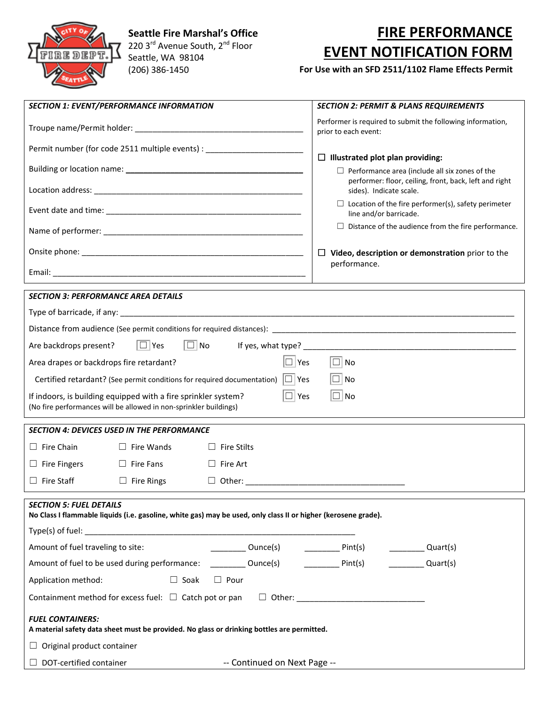

 **Seattle Fire Marshal's Office** 220 3<sup>rd</sup> Avenue South, 2<sup>nd</sup> Floor Seattle, WA 98104 (206) 386-1450

## **FIRE PERFORMANCE EVENT NOTIFICATION FORM**

## **For Use with an SFD 2511/1102 Flame Effects Permit**

| <b>SECTION 1: EVENT/PERFORMANCE INFORMATION</b>                                                                                                                |                   |                              | <b>SECTION 2: PERMIT &amp; PLANS REQUIREMENTS</b>                                                                                                                                                                                                                                                                                                                                                                                 |  |
|----------------------------------------------------------------------------------------------------------------------------------------------------------------|-------------------|------------------------------|-----------------------------------------------------------------------------------------------------------------------------------------------------------------------------------------------------------------------------------------------------------------------------------------------------------------------------------------------------------------------------------------------------------------------------------|--|
|                                                                                                                                                                |                   |                              | Performer is required to submit the following information,<br>prior to each event:                                                                                                                                                                                                                                                                                                                                                |  |
| Permit number (for code 2511 multiple events) : __________________________                                                                                     |                   |                              |                                                                                                                                                                                                                                                                                                                                                                                                                                   |  |
|                                                                                                                                                                |                   |                              | $\Box$ Illustrated plot plan providing:<br>$\Box$ Performance area (include all six zones of the                                                                                                                                                                                                                                                                                                                                  |  |
|                                                                                                                                                                |                   |                              | performer: floor, ceiling, front, back, left and right<br>sides). Indicate scale.                                                                                                                                                                                                                                                                                                                                                 |  |
|                                                                                                                                                                |                   |                              | $\Box$ Location of the fire performer(s), safety perimeter<br>line and/or barricade.                                                                                                                                                                                                                                                                                                                                              |  |
|                                                                                                                                                                |                   |                              | $\Box$ Distance of the audience from the fire performance.                                                                                                                                                                                                                                                                                                                                                                        |  |
|                                                                                                                                                                |                   |                              | $\Box$ Video, description or demonstration prior to the                                                                                                                                                                                                                                                                                                                                                                           |  |
|                                                                                                                                                                |                   |                              | performance.                                                                                                                                                                                                                                                                                                                                                                                                                      |  |
| <b>SECTION 3: PERFORMANCE AREA DETAILS</b>                                                                                                                     |                   |                              |                                                                                                                                                                                                                                                                                                                                                                                                                                   |  |
|                                                                                                                                                                |                   |                              |                                                                                                                                                                                                                                                                                                                                                                                                                                   |  |
|                                                                                                                                                                |                   |                              |                                                                                                                                                                                                                                                                                                                                                                                                                                   |  |
| $\Box$ Yes<br>$\Box$ No<br>Are backdrops present?                                                                                                              |                   |                              |                                                                                                                                                                                                                                                                                                                                                                                                                                   |  |
| $\Box$ No<br>$\Box$ Yes<br>Area drapes or backdrops fire retardant?                                                                                            |                   |                              |                                                                                                                                                                                                                                                                                                                                                                                                                                   |  |
| Certified retardant? (See permit conditions for required documentation) $\Box$ Yes<br>$\Box$ No                                                                |                   |                              |                                                                                                                                                                                                                                                                                                                                                                                                                                   |  |
| $\Box$ Yes<br>$\Box$ No<br>If indoors, is building equipped with a fire sprinkler system?<br>(No fire performances will be allowed in non-sprinkler buildings) |                   |                              |                                                                                                                                                                                                                                                                                                                                                                                                                                   |  |
| <b>SECTION 4: DEVICES USED IN THE PERFORMANCE</b>                                                                                                              |                   |                              |                                                                                                                                                                                                                                                                                                                                                                                                                                   |  |
| $\Box$ Fire Chain                                                                                                                                              | $\Box$ Fire Wands | $\Box$ Fire Stilts           |                                                                                                                                                                                                                                                                                                                                                                                                                                   |  |
| $\Box$ Fire Fingers                                                                                                                                            | $\Box$ Fire Fans  | $\Box$ Fire Art              |                                                                                                                                                                                                                                                                                                                                                                                                                                   |  |
| $\Box$ Fire Staff                                                                                                                                              | $\Box$ Fire Rings |                              |                                                                                                                                                                                                                                                                                                                                                                                                                                   |  |
| <b>SECTION 5: FUEL DETAILS</b><br>No Class I flammable liquids (i.e. gasoline, white gas) may be used, only class II or higher (kerosene grade).               |                   |                              |                                                                                                                                                                                                                                                                                                                                                                                                                                   |  |
| Amount of fuel traveling to site:                                                                                                                              |                   |                              | $\frac{1}{\sqrt{1-\frac{1}{\sqrt{1-\frac{1}{\sqrt{1-\frac{1}{\sqrt{1-\frac{1}{\sqrt{1-\frac{1}{\sqrt{1-\frac{1}{\sqrt{1-\frac{1}{\sqrt{1-\frac{1}{\sqrt{1-\frac{1}{\sqrt{1-\frac{1}{\sqrt{1-\frac{1}{\sqrt{1-\frac{1}{\sqrt{1-\frac{1}{\sqrt{1-\frac{1}{\sqrt{1-\frac{1}{\sqrt{1-\frac{1}{\sqrt{1-\frac{1}{\sqrt{1-\frac{1}{\sqrt{1-\frac{1}{\sqrt{1-\frac{1}{\sqrt{1-\frac{1}{\sqrt{1-\frac{1}{\sqrt{1-\frac{1}{\sqrt{1-\frac{1$ |  |
| Amount of fuel to be used during performance: ___________ Ounce(s) _____________ Pint(s) ___________ Quart(s)                                                  |                   |                              |                                                                                                                                                                                                                                                                                                                                                                                                                                   |  |
| $\Box$ Soak $\Box$ Pour<br>Application method:                                                                                                                 |                   |                              |                                                                                                                                                                                                                                                                                                                                                                                                                                   |  |
| Containment method for excess fuel: □ Catch pot or pan □ Other: ___________________________________                                                            |                   |                              |                                                                                                                                                                                                                                                                                                                                                                                                                                   |  |
| <b>FUEL CONTAINERS:</b><br>A material safety data sheet must be provided. No glass or drinking bottles are permitted.                                          |                   |                              |                                                                                                                                                                                                                                                                                                                                                                                                                                   |  |
| $\Box$ Original product container                                                                                                                              |                   |                              |                                                                                                                                                                                                                                                                                                                                                                                                                                   |  |
| $\Box$ DOT-certified container                                                                                                                                 |                   | -- Continued on Next Page -- |                                                                                                                                                                                                                                                                                                                                                                                                                                   |  |